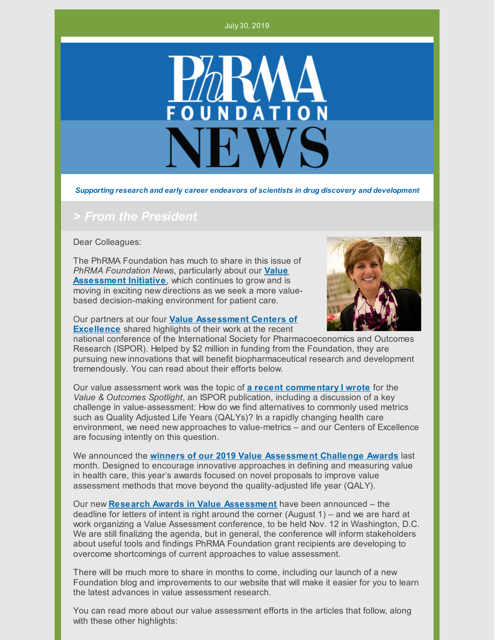

*Supporting research and early career endeavors of scientists in drug discovery and development*

### *> From the President*

Dear Colleagues:

The PhRMA Foundation has much to share in this issue of *PhRMA Foundation News*, particularly about our **Value [Assessment](http://www.phrmafoundation.org/2018-awards/value-assessment-initiative/) Initiative**, which continues to grow and is moving in exciting new directions as we seek a more valuebased decision-making environment for patient care.



Our partners at our four **Value [Assessment](http://www.phrmafoundation.org/centers-of-excellence-in-value-assessment/) Centers of Excellence** shared highlights of their work at the recent

national conference of the International Society for Pharmacoeconomics and Outcomes Research (ISPOR). Helped by \$2 million in funding from the Foundation, they are pursuing new innovations that will benefit biopharmaceutical research and development tremendously. You can read about their efforts below.

Our value assessment work was the topic of **a recent [commentary](http://www.phrmafoundation.org/wp-content/uploads/2019/05/feature-measuring-value-in-healthcare-beyond-cost.pdf) I wrote** for the *Value & Outcomes Spotlight*, an ISPOR publication, including a discussion of a key challenge in value-assessment: How do we find alternatives to commonly used metrics such as Quality Adjusted Life Years (QALYs)? In a rapidly changing health care environment, we need new approaches to value-metrics – and our Centers of Excellence are focusing intently on this question.

We announced the **winners of our 2019 Value [Assessment](http://www.phrmafoundation.org/wp-content/uploads/2019/06/FINAL-6.25.19-VAI-Challenge-Award-Winners.pdf) Challenge Awards** last month. Designed to encourage innovative approaches in defining and measuring value in health care, this year's awards focused on novel proposals to improve value assessment methods that move beyond the quality-adjusted life year (QALY).

Our new **Research Awards in Value [Assessment](http://www.phrmafoundation.org/wp-content/uploads/2019/06/PhRMAFoundation_ValueAssessmentRFP_ResearchAward-062519.pdf)** have been announced – the deadline for letters of intent is right around the corner (August 1) – and we are hard at work organizing a Value Assessment conference, to be held Nov. 12 in Washington, D.C. We are still finalizing the agenda, but in general, the conference will inform stakeholders about useful tools and findings PhRMA Foundation grant recipients are developing to overcome shortcomings of current approaches to value assessment.

There will be much more to share in months to come, including our launch of a new Foundation blog and improvements to our website that will make it easier for you to learn the latest advances in value assessment research.

You can read more about our value assessment efforts in the articles that follow, along with these other highlights: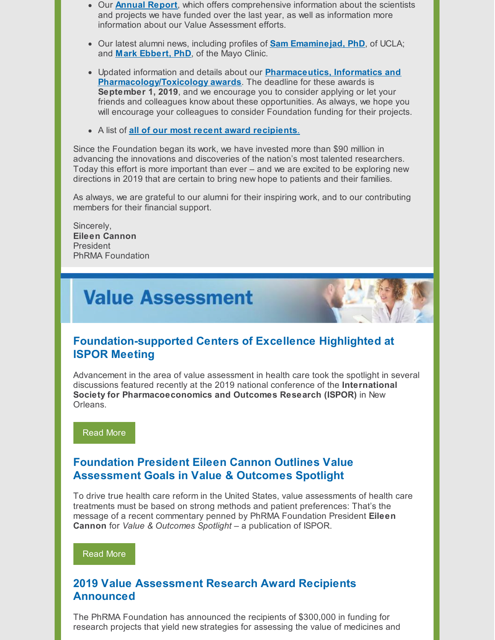- Our **[Annual](http://www.phrmafoundation.org/wp-content/uploads/2019/07/PhRMAFoundation_Annual-Report-2018.pdf) Report**, which offers comprehensive information about the scientists and projects we have funded over the last year, as well as information more information about our Value Assessment efforts.
- Our latest alumni news, including profiles of **Sam [Emaminejad,](http://www.phrmafoundation.org/sam-emaminejad-making-inroads-in-personalized-and-precision-medicine/) PhD**, of UCLA; and **Mark [Ebbert,](http://www.phrmafoundation.org/mark-ebbert-phd-helping-make-inroads-in-the-fight-against-alzheimers-disease/) PhD**, of the Mayo Clinic.
- Updated information and details about our **Pharmaceutics, Informatics and [Pharmacology/Toxicology](http://www.phrmafoundation.org/applications-for-foundation-awards-in-pharmaceutics-informatics-and-pharmacology-toxicology-now-open-deadline-is-september-1/) awards**. The deadline for these awards is **September 1, 2019**, and we encourage you to consider applying or let your friends and colleagues know about these opportunities. As always, we hope you will encourage your colleagues to consider Foundation funding for their projects.
- A list of **all of our most recent award [recipients](http://www.phrmafoundation.org/congratulations-to-our-2019-award-recipients/)**[.](http://www.phrmafoundation.org/congratulations-to-our-2019-award-recipients/)

Since the Foundation began its work, we have invested more than \$90 million in advancing the innovations and discoveries of the nation's most talented researchers. Today this effort is more important than ever – and we are excited to be exploring new directions in 2019 that are certain to bring new hope to patients and their families.

As always, we are grateful to our alumni for their inspiring work, and to our contributing members for their financial support.

Sincerely, **Eileen Cannon** President PhRMA Foundation

# **Value Assessment**

### **Foundation-supported Centers of Excellence Highlighted at ISPOR Meeting**

Advancement in the area of value assessment in health care took the spotlight in several discussions featured recently at the 2019 national conference of the **International Society for Pharmacoeconomics and Outcomes Research (ISPOR)** in New Orleans.

[Read](http://www.phrmafoundation.org/foundation-supported-centers-of-excellence-highlighted-at-ispor-meeting/) More

### **Foundation President Eileen Cannon Outlines Value Assessment Goals in Value & Outcomes Spotlight**

To drive true health care reform in the United States, value assessments of health care treatments must be based on strong methods and patient preferences: That's the message of a recent commentary penned by PhRMA Foundation President **Eileen Cannon** for *Value & Outcomes Spotlight* – a publication of ISPOR.

[Read](http://www.phrmafoundation.org/foundation-president-eileen-cannon-outlines-value-assessment-goals-in-value-outcomes-spotlight/) More

### **2019 Value Assessment Research Award Recipients Announced**

The PhRMA Foundation has announced the recipients of \$300,000 in funding for research projects that yield new strategies for assessing the value of medicines and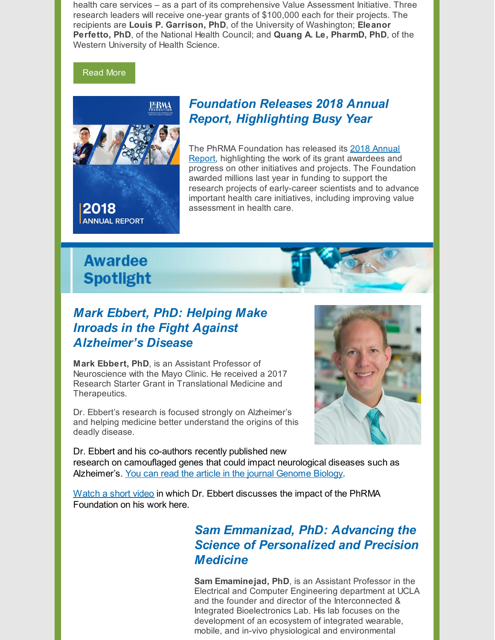health care services – as a part of its comprehensive Value Assessment Initiative. Three research leaders will receive one-year grants of \$100,000 each for their projects. The recipients are **Louis P. Garrison, PhD**, of the University of Washington; **Eleanor Perfetto, PhD**, of the National Health Council; and **Quang A. Le, PharmD, PhD**, of the Western University of Health Science.

#### [Read](http://www.phrmafoundation.org/2019-value-assessment-research-award-recipients-announced/) More



### *Foundation Releases 2018 Annual Report, Highlighting Busy Year*

The PhRMA [Foundation](http://www.phrmafoundation.org/wp-content/uploads/2019/07/PhRMAFoundation_Annual-Report-2018.pdf) has released its 2018 Annual Report, highlighting the work of its grant awardees and progress on other initiatives and projects. The Foundation awarded millions last year in funding to support the research projects of early-career scientists and to advance important health care initiatives, including improving value assessment in health care.

## **Awardee Spotlight**



## *Mark Ebbert, PhD: Helping Make Inroads in the Fight Against Alzheimer's Disease*

**Mark Ebbert, PhD**, is an Assistant Professor of Neuroscience with the Mayo Clinic. He received a 2017 Research Starter Grant in Translational Medicine and Therapeutics.

Dr. Ebbert's research is focused strongly on Alzheimer's and helping medicine better understand the origins of this deadly disease.



Dr. Ebbert and his co-authors recently published new research on camouflaged genes that could impact neurological diseases such as Alzheimer's. You can read the article in the journal [Genome](http://www.phrmafoundation.org/wp-content/uploads/2019/06/Ebbert_CamoGenes_GenomeBiology.pdf) Biolog[y.](http://www.phrmafoundation.org/wp-content/uploads/2019/06/Ebbert_CamoGenes_GenomeBiology.pdf)

[Watch](http://www.phrmafoundation.org/wp-content/uploads/2018/11/Ebbert_Mark-PhRMA_Foundation_Starter_Grant.mp4) a short video in which Dr. Ebbert discusses the impact of the PhRMA [Foundation](http://www.phrmafoundation.org/wp-content/uploads/2018/11/Ebbert_Mark-PhRMA_Foundation_Starter_Grant.mp4) on his work here.

## *Sam Emmanizad, PhD: Advancing the Science of Personalized and Precision Medicine*

**Sam Emaminejad, PhD**, is an Assistant Professor in the Electrical and Computer Engineering department at UCLA and the founder and director of the Interconnected & Integrated Bioelectronics Lab. His lab focuses on the development of an ecosystem of integrated wearable, mobile, and in-vivo physiological and environmental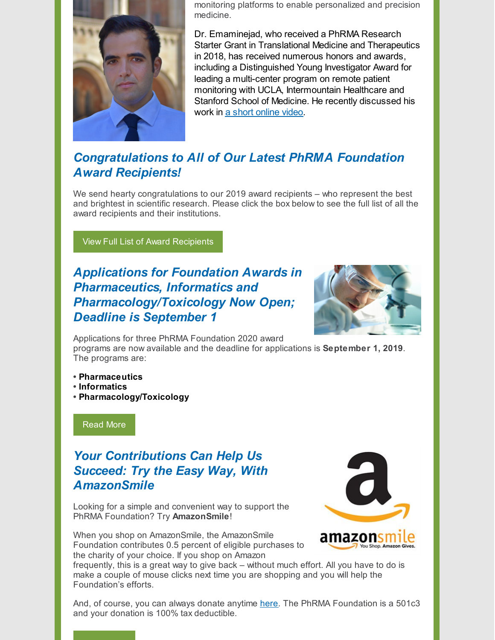

monitoring platforms to enable personalized and precision medicine.

Dr. Emaminejad, who received a PhRMA Research Starter Grant in Translational Medicine and Therapeutics in 2018, has received numerous honors and awards, including a Distinguished Young Investigator Award for leading a multi-center program on remote patient monitoring with UCLA, Intermountain Healthcare and Stanford School of Medicine. He recently discussed his work in a short [online](http://www.phrmafoundation.org/wp-content/uploads/2019/07/Sam-Emaminejad.mp4) video.

## *Congratulations to All of Our Latest PhRMA Foundation Award Recipients!*

We send hearty congratulations to our 2019 award recipients – who represent the best and brightest in scientific research. Please click the box below to see the full list of all the award recipients and their institutions.

View Full List of Award [Recipients](http://www.phrmafoundation.org/congratulations-to-our-2019-award-recipients/)

## *Applications for Foundation Awards in Pharmaceutics, Informatics and Pharmacology/Toxicology Now Open; Deadline is September 1*



Applications for three PhRMA Foundation 2020 award

programs are now available and the deadline for applications is **September 1, 2019**. The programs are:

- **• [Pharmaceutics](http://www.phrmafoundation.org/wp-content/uploads/2019/05/Pharmaceutics-2020-Brochure.pdf)**
- **• [Informatics](http://www.phrmafoundation.org/wp-content/uploads/2019/05/Informatics-2020-Brochure.pdf)**
- **• [Pharmacology/Toxicology](http://www.phrmafoundation.org/wp-content/uploads/2019/05/Pharmacology-Toxicology-2020-Brochure.pdf)**

[Read](http://www.phrmafoundation.org/applications-for-foundation-awards-in-pharmaceutics-informatics-and-pharmacology-toxicology-now-open-deadline-is-september-1/) More

## *Your Contributions Can Help Us Succeed: Try the Easy Way, With AmazonSmile*

Looking for a simple and convenient way to support the PhRMA Foundation? Try **AmazonSmile**!

When you shop on AmazonSmile, the AmazonSmile Foundation contributes 0.5 percent of eligible purchases to the charity of your choice. If you shop on Amazon



frequently, this is a great way to give back – without much effort. All you have to do is make a couple of mouse clicks next time you are shopping and you will help the Foundation's efforts.

And, of course, you can always donate anytime [here](https://www.paypal.com/donate/?token=XMNr2RqCMjdKEgN2u31nC3ZzqpHp2HP5BV51r4SfgIqtuCNdfh0fwTGWcZm3sbXiV8UFK0&country.x=US&locale.x=US). The PhRMA Foundation is a 501c3 and your donation is 100% tax deductible.